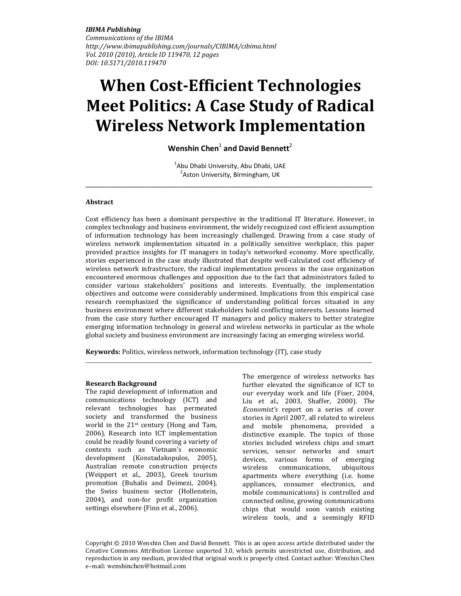IBIMA Publishing Communications of the IBIMA http://www.ibimapublishing.com/journals/CIBIMA/cibima.html Vol. 2010 (2010), Article ID 119470, 12 pages DOI: 10.5171/2010.119470

# When Cost-Efficient Technologies Meet Politics: A Case Study of Radical Wireless Network Implementation

Wenshin Chen $^1$  and David Bennett<sup>2</sup>

<sup>1</sup>Abu Dhabi University, Abu Dhabi, UAE <sup>2</sup> Aston University, Birmingham, UK  $\_$  ,  $\_$  ,  $\_$  ,  $\_$  ,  $\_$  ,  $\_$  ,  $\_$  ,  $\_$  ,  $\_$  ,  $\_$  ,  $\_$  ,  $\_$  ,  $\_$  ,  $\_$  ,  $\_$  ,  $\_$  ,  $\_$  ,  $\_$ 

### Abstract

Cost efficiency has been a dominant perspective in the traditional IT literature. However, in complex technology and business environment, the widely recognized cost efficient assumption of information technology has been increasingly challenged. Drawing from a case study of wireless network implementation situated in a politically sensitive workplace, this paper provided practice insights for IT managers in today's networked economy. More specifically, stories experienced in the case study illustrated that despite well-calculated cost efficiency of wireless network infrastructure, the radical implementation process in the case organization encountered enormous challenges and opposition due to the fact that administrators failed to consider various stakeholders' positions and interests. Eventually, the implementation objectives and outcome were considerably undermined. Implications from this empirical case research reemphasized the significance of understanding political forces situated in any business environment where different stakeholders hold conflicting interests. Lessons learned from the case story further encouraged IT managers and policy makers to better strategize emerging information technology in general and wireless networks in particular as the whole global society and business environment are increasingly facing an emerging wireless world.

\_\_\_\_\_\_\_\_\_\_\_\_\_\_\_\_\_\_\_\_\_\_\_\_\_\_\_\_\_\_\_\_\_\_\_\_\_\_\_\_\_\_\_\_\_\_\_\_\_\_\_\_\_\_\_\_\_\_\_\_\_\_\_\_\_\_\_\_\_\_\_\_\_\_\_\_\_\_\_\_\_

Keywords: Politics, wireless network, information technology (IT), case study

#### Research Background

The rapid development of information and communications technology (ICT) and relevant technologies has permeated society and transformed the business world in the 21st century (Hong and Tam, 2006). Research into ICT implementation could be readily found covering a variety of contexts such as Vietnam's economic development (Konstadakopulos, 2005), Australian remote construction projects (Weippert et al., 2003), Greek tourism promotion (Buhalis and Deimezi, 2004), the Swiss business sector (Hollenstein, 2004), and non-for profit organization settings elsewhere (Finn et al., 2006).

The emergence of wireless networks has further elevated the significance of ICT to our everyday work and life (Fiser, 2004, Liu et al., 2003, Shaffer, 2000). The Economist's report on a series of cover stories in April 2007, all related to wireless and mobile phenomena, provided a distinctive example. The topics of those stories included wireless chips and smart services, sensor networks and smart devices, various forms of emerging wireless communications, ubiquitous apartments where everything (i.e. home appliances, consumer electronics, and mobile communications) is controlled and connected online, growing communications chips that would soon vanish existing wireless tools, and a seemingly RFID

Copyright © 2010 Wenshin Chen and David Bennett. This is an open access article distributed under the Creative Commons Attribution License unported 3.0, which permits unrestricted use, distribution, and reproduction in any medium, provided that original work is properly cited. Contact author: Wenshin Chen e–mail: wenshinchen@hotmail.com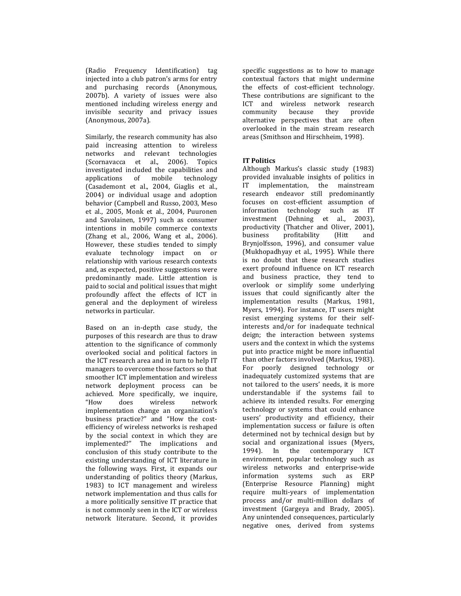(Radio Frequency Identification) tag injected into a club patron's arms for entry and purchasing records (Anonymous, 2007b). A variety of issues were also mentioned including wireless energy and invisible security and privacy issues (Anonymous, 2007a).

Similarly, the research community has also paid increasing attention to wireless networks and relevant technologies (Scornavacca et al., 2006). Topics investigated included the capabilities and applications of mobile technology (Casademont et al., 2004, Giaglis et al., 2004) or individual usage and adoption behavior (Campbell and Russo, 2003, Meso et al., 2005, Monk et al., 2004, Puuronen and Savolainen, 1997) such as consumer intentions in mobile commerce contexts (Zhang et al., 2006, Wang et al., 2006). However, these studies tended to simply evaluate technology impact on or relationship with various research contexts and, as expected, positive suggestions were predominantly made. Little attention is paid to social and political issues that might profoundly affect the effects of ICT in general and the deployment of wireless networks in particular.

Based on an in-depth case study, the purposes of this research are thus to draw attention to the significance of commonly overlooked social and political factors in the ICT research area and in turn to help IT managers to overcome those factors so that smoother ICT implementation and wireless network deployment process can be achieved. More specifically, we inquire,<br>"How does wireless network does wireless network implementation change an organization's business practice?" and "How the costefficiency of wireless networks is reshaped by the social context in which they are implemented?" The implications and conclusion of this study contribute to the existing understanding of ICT literature in the following ways. First, it expands our understanding of politics theory (Markus, 1983) to ICT management and wireless network implementation and thus calls for a more politically sensitive IT practice that is not commonly seen in the ICT or wireless network literature. Second, it provides

specific suggestions as to how to manage contextual factors that might undermine the effects of cost-efficient technology. These contributions are significant to the ICT and wireless network research<br>community because they provide community because they alternative perspectives that are often overlooked in the main stream research areas (Smithson and Hirschheim, 1998).

# IT Politics

Although Markus's classic study (1983) provided invaluable insights of politics in IT implementation, the mainstream research endeavor still predominantly focuses on cost-efficient assumption of information technology such as IT investment (Dehning et al., 2003), productivity (Thatcher and Oliver, 2001), business profitability (Hitt and Brynjolfsson, 1996), and consumer value (Mukhopadhyay et al., 1995). While there is no doubt that these research studies exert profound influence on ICT research and business practice, they tend to overlook or simplify some underlying issues that could significantly alter the implementation results (Markus, 1981, Myers, 1994). For instance, IT users might resist emerging systems for their selfinterests and/or for inadequate technical deign; the interaction between systems users and the context in which the systems put into practice might be more influential than other factors involved (Markus, 1983). For poorly designed technology or inadequately customized systems that are not tailored to the users' needs, it is more understandable if the systems fail to achieve its intended results. For emerging technology or systems that could enhance users' productivity and efficiency, their implementation success or failure is often determined not by technical design but by social and organizational issues (Myers, 1994). In the contemporary ICT environment, popular technology such as wireless networks and enterprise-wide information systems such as ERP (Enterprise Resource Planning) might require multi-years of implementation process and/or multi-million dollars of investment (Gargeya and Brady, 2005). Any unintended consequences, particularly negative ones, derived from systems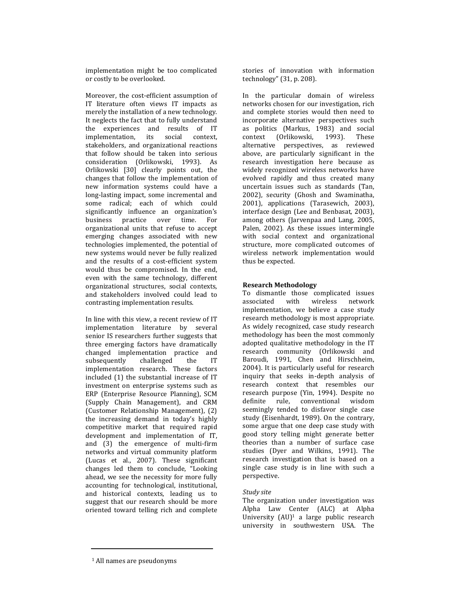implementation might be too complicated or costly to be overlooked.

Moreover, the cost-efficient assumption of IT literature often views IT impacts as merely the installation of a new technology. It neglects the fact that to fully understand the experiences and results of IT implementation, its social context, stakeholders, and organizational reactions that follow should be taken into serious consideration (Orlikowski, 1993). As Orlikowski [30] clearly points out, the changes that follow the implementation of new information systems could have a long-lasting impact, some incremental and some radical; each of which could significantly influence an organization's business practice over time. For organizational units that refuse to accept emerging changes associated with new technologies implemented, the potential of new systems would never be fully realized and the results of a cost-efficient system would thus be compromised. In the end, even with the same technology, different organizational structures, social contexts, and stakeholders involved could lead to contrasting implementation results.

In line with this view, a recent review of IT implementation literature by several senior IS researchers further suggests that three emerging factors have dramatically changed implementation practice and subsequently challenged the IT implementation research. These factors included (1) the substantial increase of IT investment on enterprise systems such as ERP (Enterprise Resource Planning), SCM (Supply Chain Management), and CRM (Customer Relationship Management), (2) the increasing demand in today's highly competitive market that required rapid development and implementation of IT, and (3) the emergence of multi-firm networks and virtual community platform (Lucas et al., 2007). These significant changes led them to conclude, "Looking ahead, we see the necessity for more fully accounting for technological, institutional, and historical contexts, leading us to suggest that our research should be more oriented toward telling rich and complete

stories of innovation with information technology" (31, p. 208).

In the particular domain of wireless networks chosen for our investigation, rich and complete stories would then need to incorporate alternative perspectives such as politics (Markus, 1983) and social context (Orlikowski, 1993). These alternative perspectives, as reviewed above, are particularly significant in the research investigation here because as widely recognized wireless networks have evolved rapidly and thus created many uncertain issues such as standards (Tan, 2002), security (Ghosh and Swaminatha, 2001), applications (Tarasewich, 2003), interface design (Lee and Benbasat, 2003), among others (Jarvenpaa and Lang, 2005, Palen, 2002). As these issues intermingle with social context and organizational structure, more complicated outcomes of wireless network implementation would thus be expected.

# Research Methodology

To dismantle those complicated issues associated with wireless network implementation, we believe a case study research methodology is most appropriate. As widely recognized, case study research methodology has been the most commonly adopted qualitative methodology in the IT research community (Orlikowski and Baroudi, 1991, Chen and Hirschheim, 2004). It is particularly useful for research inquiry that seeks in-depth analysis of research context that resembles our research purpose (Yin, 1994). Despite no definite rule, conventional wisdom seemingly tended to disfavor single case study (Eisenhardt, 1989). On the contrary, some argue that one deep case study with good story telling might generate better theories than a number of surface case studies (Dyer and Wilkins, 1991). The research investigation that is based on a single case study is in line with such a perspective.

# Study site

The organization under investigation was Alpha Law Center (ALC) at Alpha University (AU)<sup>1</sup> a large public research university in southwestern USA. The

<sup>1</sup> All names are pseudonyms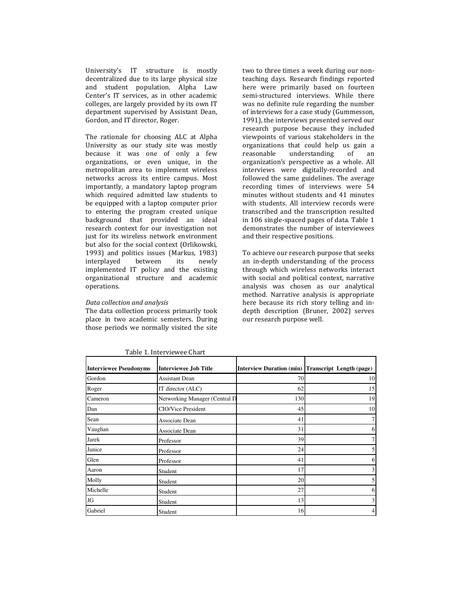University's IT structure is mostly decentralized due to its large physical size and student population. Alpha Law Center's IT services, as in other academic colleges, are largely provided by its own IT department supervised by Assistant Dean, Gordon, and IT director, Roger.

The rationale for choosing ALC at Alpha University as our study site was mostly because it was one of only a few organizations, or even unique, in the metropolitan area to implement wireless networks across its entire campus. Most importantly, a mandatory laptop program which required admitted law students to be equipped with a laptop computer prior to entering the program created unique background that provided an ideal research context for our investigation not just for its wireless network environment but also for the social context (Orlikowski, 1993) and politics issues (Markus, 1983)<br>interplayed between its newly interplayed between its newly implemented IT policy and the existing organizational structure and academic operations.

#### Data collection and analysis

The data collection process primarily took place in two academic semesters. During those periods we normally visited the site two to three times a week during our nonteaching days. Research findings reported here were primarily based on fourteen semi-structured interviews. While there was no definite rule regarding the number of interviews for a case study (Gummesson, 1991), the interviews presented served our research purpose because they included viewpoints of various stakeholders in the organizations that could help us gain a reasonable understanding of an organization's perspective as a whole. All interviews were digitally-recorded and followed the same guidelines. The average recording times of interviews were 54 minutes without students and 41 minutes with students. All interview records were transcribed and the transcription resulted in 106 single-spaced pages of data. Table 1 demonstrates the number of interviewees and their respective positions.

To achieve our research purpose that seeks an in-depth understanding of the process through which wireless networks interact with social and political context, narrative analysis was chosen as our analytical method. Narrative analysis is appropriate here because its rich story telling and indepth description (Bruner, 2002) serves our research purpose well.

| <b>Interviewee Pseudonyms</b> | <b>Interviewee Job Title</b>   |     | Interview Duration (min) Transcript Length (page) |
|-------------------------------|--------------------------------|-----|---------------------------------------------------|
| Gordon                        | Assistant Dean                 | 70  | 10                                                |
| Roger                         | IT director (ALC)              | 62  | 15                                                |
| Cameron                       | Networking Manager (Central IT | 130 | 19                                                |
| Dan                           | <b>CIO/Vice President</b>      | 45  | 10                                                |
| Sean                          | Associate Dean                 | 41  |                                                   |
| Vaughan                       | Associate Dean                 | 31  | 6                                                 |
| Jarek                         | Professor                      | 39  |                                                   |
| Janice                        | Professor                      | 24  |                                                   |
| Glen                          | Professor                      | 41  | 6                                                 |
| Aaron                         | Student                        | 17  | 3                                                 |
| Molly                         | Student                        | 20  |                                                   |
| Michelle                      | Student                        | 27  | h.                                                |
| JG                            | Student                        | 13  | 3                                                 |
| Gabriel                       | Student                        | 16  |                                                   |

Table 1. Interviewee Chart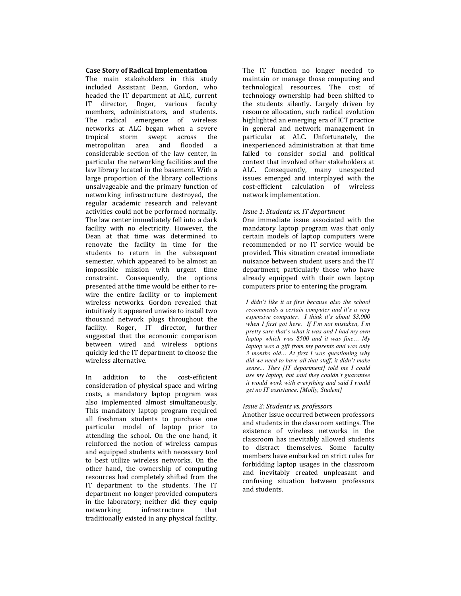#### Case Story of Radical Implementation

The main stakeholders in this study included Assistant Dean, Gordon, who headed the IT department at ALC, current IT director, Roger, various faculty members, administrators, and students. The radical emergence of wireless networks at ALC began when a severe tropical storm swept across the metropolitan area and flooded a considerable section of the law center, in particular the networking facilities and the law library located in the basement. With a large proportion of the library collections unsalvageable and the primary function of networking infrastructure destroyed, the regular academic research and relevant activities could not be performed normally. The law center immediately fell into a dark facility with no electricity. However, the Dean at that time was determined to renovate the facility in time for the students to return in the subsequent semester, which appeared to be almost an impossible mission with urgent time constraint. Consequently, the options presented at the time would be either to rewire the entire facility or to implement wireless networks. Gordon revealed that intuitively it appeared unwise to install two thousand network plugs throughout the facility. Roger, IT director, further suggested that the economic comparison between wired and wireless options quickly led the IT department to choose the wireless alternative.

In addition to the cost-efficient consideration of physical space and wiring costs, a mandatory laptop program was also implemented almost simultaneously. This mandatory laptop program required all freshman students to purchase one particular model of laptop prior to attending the school. On the one hand, it reinforced the notion of wireless campus and equipped students with necessary tool to best utilize wireless networks. On the other hand, the ownership of computing resources had completely shifted from the IT department to the students. The IT department no longer provided computers in the laboratory; neither did they equip networking infrastructure that traditionally existed in any physical facility.

The IT function no longer needed to maintain or manage those computing and technological resources. The cost of technology ownership had been shifted to the students silently. Largely driven by resource allocation, such radical evolution highlighted an emerging era of ICT practice in general and network management in particular at ALC. Unfortunately, the inexperienced administration at that time failed to consider social and political context that involved other stakeholders at ALC. Consequently, many unexpected issues emerged and interplayed with the cost-efficient calculation of wireless network implementation.

### Issue 1: Students vs. IT department

One immediate issue associated with the mandatory laptop program was that only certain models of laptop computers were recommended or no IT service would be provided. This situation created immediate nuisance between student users and the IT department, particularly those who have already equipped with their own laptop computers prior to entering the program.

*I didn't like it at first because also the school recommends a certain computer and it's a very expensive computer. I think it's about \$3,000 when I first got here. If I'm not mistaken, I'm pretty sure that's what it was and I had my own laptop which was \$500 and it was fine… My laptop was a gift from my parents and was only 3 months old… At first I was questioning why did we need to have all that stuff, it didn't make sense... They [IT department] told me I could use my laptop, but said they couldn't guarantee it would work with everything and said I would get no IT assistance. [Molly, Student]* 

#### Issue 2: Students vs. professors

Another issue occurred between professors and students in the classroom settings. The existence of wireless networks in the classroom has inevitably allowed students to distract themselves. Some faculty members have embarked on strict rules for forbidding laptop usages in the classroom and inevitably created unpleasant and confusing situation between professors and students.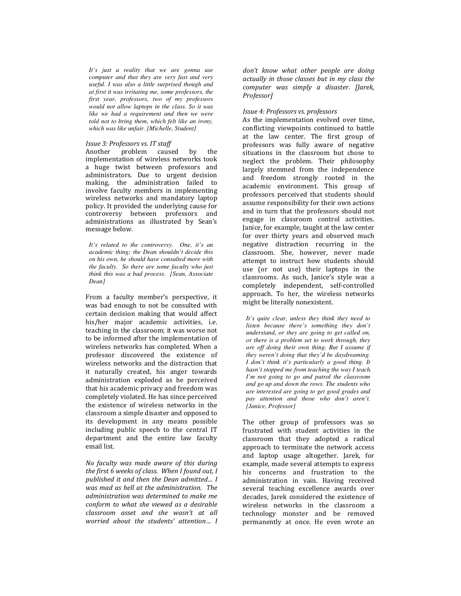*It's just a reality that we are gonna use computer and that they are very fast and very useful. I was also a little surprised though and at first it was irritating me, some professors, the first year, professors, two of my professors would not allow laptops in the class. So it was like we had a requirement and then we were told not to bring them, which felt like an irony, which was like unfair. [Michelle, Student]* 

#### Issue 3: Professors vs. IT staff

Another problem caused by the implementation of wireless networks took a huge twist between professors and administrators. Due to urgent decision making, the administration failed to involve faculty members in implementing wireless networks and mandatory laptop policy. It provided the underlying cause for controversy between professors and administrations as illustrated by Sean's message below.

*It's related to the controversy. One, it's an academic thing; the Dean shouldn't decide this on his own, he should have consulted more with the faculty. So there are some faculty who just think this was a bad process. [Sean, Associate Dean]* 

From a faculty member's perspective, it was bad enough to not be consulted with certain decision making that would affect his/her major academic activities, i.e. teaching in the classroom; it was worse not to be informed after the implementation of wireless networks has completed. When a professor discovered the existence of wireless networks and the distraction that it naturally created, his anger towards administration exploded as he perceived that his academic privacy and freedom was completely violated. He has since perceived the existence of wireless networks in the classroom a simple disaster and opposed to its development in any means possible including public speech to the central IT department and the entire law faculty email list.

No faculty was made aware of this during the first 6 weeks of class. When I found out, I published it and then the Dean admitted… I was mad as hell at the administration. The administration was determined to make me conform to what she viewed as a desirable classroom asset and she wasn't at all worried about the students' attention… I

don't know what other people are doing actually in those classes but in my class the computer was simply a disaster. [Jarek, Professor]

# Issue 4: Professors vs. professors

As the implementation evolved over time, conflicting viewpoints continued to battle at the law center. The first group of professors was fully aware of negative situations in the classroom but chose to neglect the problem. Their philosophy largely stemmed from the independence and freedom strongly rooted in the academic environment. This group of professors perceived that students should assume responsibility for their own actions and in turn that the professors should not engage in classroom control activities. Janice, for example, taught at the law center for over thirty years and observed much negative distraction recurring in the classroom. She, however, never made attempt to instruct how students should use (or not use) their laptops in the classrooms. As such, Janice's style was a completely independent, self-controlled approach. To her, the wireless networks might be literally nonexistent.

*It's quite clear, unless they think they need to listen because there's something they don't understand, or they are going to get called on, or there is a problem set to work through, they are off doing their own thing. But I assume if they weren't doing that they'd be daydreaming. I don't think it's particularly a good thing. It hasn't stopped me from teaching the way I teach. I'm not going to go and patrol the classroom and go up and down the rows. The students who are interested are going to get good grades and pay attention and those who don't aren't. [Janice, Professor]* 

The other group of professors was so frustrated with student activities in the classroom that they adopted a radical approach to terminate the network access and laptop usage altogether. Jarek, for example, made several attempts to express his concerns and frustration to the administration in vain. Having received several teaching excellence awards over decades, Jarek considered the existence of wireless networks in the classroom a technology monster and be removed permanently at once. He even wrote an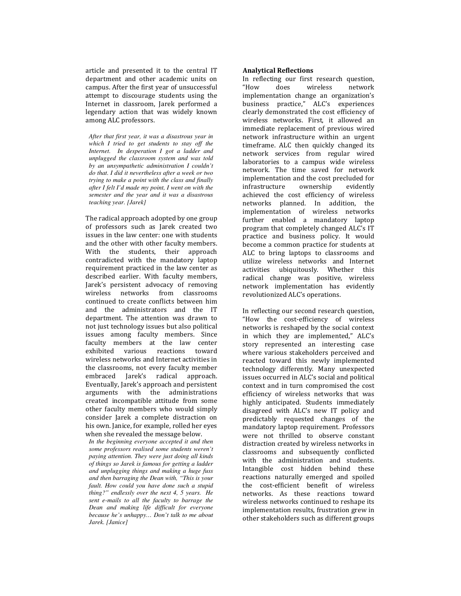article and presented it to the central IT department and other academic units on campus. After the first year of unsuccessful attempt to discourage students using the Internet in classroom, Jarek performed a legendary action that was widely known among ALC professors.

*After that first year, it was a disastrous year in which I tried to get students to stay off the Internet. In desperation I got a ladder and unplugged the classroom system and was told by an unsympathetic administration I couldn't do that. I did it nevertheless after a week or two trying to make a point with the class and finally after I felt I'd made my point, I went on with the semester and the year and it was a disastrous teaching year. [Jarek]* 

The radical approach adopted by one group of professors such as Jarek created two issues in the law center: one with students and the other with other faculty members. With the students, their approach contradicted with the mandatory laptop requirement practiced in the law center as described earlier. With faculty members, Jarek's persistent advocacy of removing wireless networks from classrooms continued to create conflicts between him and the administrators and the IT department. The attention was drawn to not just technology issues but also political issues among faculty members. Since faculty members at the law center exhibited various reactions toward wireless networks and Internet activities in the classrooms, not every faculty member embraced Jarek's radical approach. Eventually, Jarek's approach and persistent arguments with the administrations created incompatible attitude from some other faculty members who would simply consider Jarek a complete distraction on his own. Janice, for example, rolled her eyes when she revealed the message below.

*In the beginning everyone accepted it and then some professors realised some students weren't paying attention. They were just doing all kinds of things so Jarek is famous for getting a ladder and unplugging things and making a huge fuss and then barraging the Dean with, "This is your fault. How could you have done such a stupid thing?" endlessly over the next 4, 5 years. He sent e-mails to all the faculty to barrage the Dean and making life difficult for everyone because he's unhappy… Don't talk to me about Jarek. [Janice]* 

# Analytical Reflections

In reflecting our first research question, "How does wireless network implementation change an organization's business practice," ALC's experiences clearly demonstrated the cost efficiency of wireless networks. First, it allowed an immediate replacement of previous wired network infrastructure within an urgent timeframe. ALC then quickly changed its network services from regular wired laboratories to a campus wide wireless network. The time saved for network implementation and the cost precluded for infrastructure ownership evidently achieved the cost efficiency of wireless networks planned. In addition, the implementation of wireless networks further enabled a mandatory laptop program that completely changed ALC's IT practice and business policy. It would become a common practice for students at ALC to bring laptops to classrooms and utilize wireless networks and Internet activities ubiquitously. Whether this radical change was positive, wireless network implementation has evidently revolutionized ALC's operations.

In reflecting our second research question, "How the cost-efficiency of wireless networks is reshaped by the social context in which they are implemented," ALC's story represented an interesting case where various stakeholders perceived and reacted toward this newly implemented technology differently. Many unexpected issues occurred in ALC's social and political context and in turn compromised the cost efficiency of wireless networks that was highly anticipated. Students immediately disagreed with ALC's new IT policy and predictably requested changes of the mandatory laptop requirement. Professors were not thrilled to observe constant distraction created by wireless networks in classrooms and subsequently conflicted with the administration and students. Intangible cost hidden behind these reactions naturally emerged and spoiled the cost-efficient benefit of wireless networks. As these reactions toward wireless networks continued to reshape its implementation results, frustration grew in other stakeholders such as different groups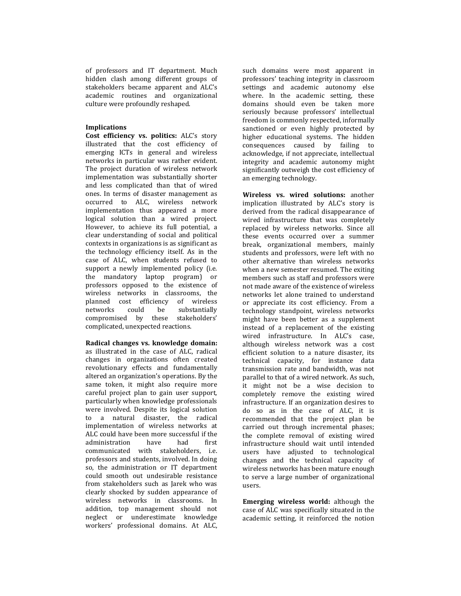of professors and IT department. Much hidden clash among different groups of stakeholders became apparent and ALC's academic routines and organizational culture were profoundly reshaped.

# Implications

Cost efficiency vs. politics: ALC's story illustrated that the cost efficiency of emerging ICTs in general and wireless networks in particular was rather evident. The project duration of wireless network implementation was substantially shorter and less complicated than that of wired ones. In terms of disaster management as occurred to ALC, wireless network implementation thus appeared a more logical solution than a wired project. However, to achieve its full potential, a clear understanding of social and political contexts in organizations is as significant as the technology efficiency itself. As in the case of ALC, when students refused to support a newly implemented policy (i.e. the mandatory laptop program) or professors opposed to the existence of wireless networks in classrooms, the planned cost efficiency of wireless networks could be substantially compromised by these stakeholders' complicated, unexpected reactions.

Radical changes vs. knowledge domain: as illustrated in the case of ALC, radical changes in organizations often created revolutionary effects and fundamentally altered an organization's operations. By the same token, it might also require more careful project plan to gain user support, particularly when knowledge professionals were involved. Despite its logical solution to a natural disaster, the radical implementation of wireless networks at ALC could have been more successful if the administration have had first communicated with stakeholders, i.e. professors and students, involved. In doing so, the administration or IT department could smooth out undesirable resistance from stakeholders such as Jarek who was clearly shocked by sudden appearance of wireless networks in classrooms. In addition, top management should not neglect or underestimate knowledge workers' professional domains. At ALC,

such domains were most apparent in professors' teaching integrity in classroom settings and academic autonomy else where. In the academic setting, these domains should even be taken more seriously because professors' intellectual freedom is commonly respected, informally sanctioned or even highly protected by higher educational systems. The hidden consequences caused by failing to acknowledge, if not appreciate, intellectual integrity and academic autonomy might significantly outweigh the cost efficiency of an emerging technology.

Wireless vs. wired solutions: another implication illustrated by ALC's story is derived from the radical disappearance of wired infrastructure that was completely replaced by wireless networks. Since all these events occurred over a summer break, organizational members, mainly students and professors, were left with no other alternative than wireless networks when a new semester resumed. The exiting members such as staff and professors were not made aware of the existence of wireless networks let alone trained to understand or appreciate its cost efficiency. From a technology standpoint, wireless networks might have been better as a supplement instead of a replacement of the existing wired infrastructure. In ALC's case, although wireless network was a cost efficient solution to a nature disaster, its technical capacity, for instance data transmission rate and bandwidth, was not parallel to that of a wired network. As such, it might not be a wise decision to completely remove the existing wired infrastructure. If an organization desires to do so as in the case of ALC, it is recommended that the project plan be carried out through incremental phases; the complete removal of existing wired infrastructure should wait until intended users have adjusted to technological changes and the technical capacity of wireless networks has been mature enough to serve a large number of organizational users.

Emerging wireless world: although the case of ALC was specifically situated in the academic setting, it reinforced the notion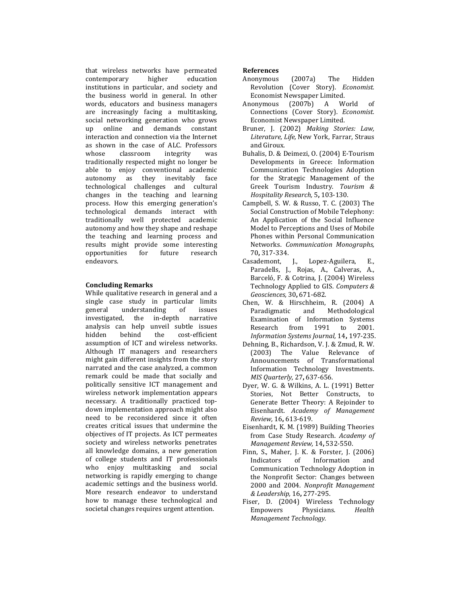that wireless networks have permeated contemporary higher education institutions in particular, and society and the business world in general. In other words, educators and business managers are increasingly facing a multitasking, social networking generation who grows up online and demands constant interaction and connection via the Internet as shown in the case of ALC. Professors whose classroom integrity was traditionally respected might no longer be able to enjoy conventional academic autonomy as they inevitably face technological challenges and cultural changes in the teaching and learning process. How this emerging generation's technological demands interact with traditionally well protected academic autonomy and how they shape and reshape the teaching and learning process and results might provide some interesting opportunities for future research endeavors.

# Concluding Remarks

While qualitative research in general and a single case study in particular limits general understanding of issues<br>investigated, the in-depth narrative investigated, the in-depth narrative analysis can help unveil subtle issues<br>hidden behind the cost-efficient the cost-efficient assumption of ICT and wireless networks. Although IT managers and researchers might gain different insights from the story narrated and the case analyzed, a common remark could be made that socially and politically sensitive ICT management and wireless network implementation appears necessary. A traditionally practiced topdown implementation approach might also need to be reconsidered since it often creates critical issues that undermine the objectives of IT projects. As ICT permeates society and wireless networks penetrates all knowledge domains, a new generation of college students and IT professionals who enjoy multitasking and social networking is rapidly emerging to change academic settings and the business world. More research endeavor to understand how to manage these technological and societal changes requires urgent attention.

# References

- Anonymous (2007a) The Hidden Revolution (Cover Story). Economist. Economist Newspaper Limited.
- Anonymous (2007b) A World of Connections (Cover Story). Economist. Economist Newspaper Limited.
- Bruner, J. (2002) Making Stories: Law, Literature, Life, New York, Farrar, Straus and Giroux.
- Buhalis, D. & Deimezi, O. (2004) E-Tourism Developments in Greece: Information Communication Technologies Adoption for the Strategic Management of the Greek Tourism Industry. Tourism & Hospitality Research, 5, 103-130.
- Campbell, S. W. & Russo, T. C. (2003) The Social Construction of Mobile Telephony: An Application of the Social Influence Model to Perceptions and Uses of Mobile Phones within Personal Communication Networks. Communication Monographs, 70, 317-334.
- Casademont, J., Lopez-Aguilera, E., Paradells, J., Rojas, A., Calveras, A., Barceló, F. & Cotrina, J. (2004) Wireless Technology Applied to GIS. Computers & Geosciences, 30, 671-682.
- Chen, W. & Hirschheim, R. (2004) A Paradigmatic and Methodological Examination of Information Systems Research from 1991 to 2001. Information Systems Journal, 14, 197-235.
- Dehning, B., Richardson, V. J. & Zmud, R. W. (2003) The Value Relevance of Announcements of Transformational Information Technology Investments. MIS Quarterly, 27, 637-656.
- Dyer, W. G. & Wilkins, A. L. (1991) Better Stories, Not Better Constructs, to Generate Better Theory: A Rejoinder to Eisenhardt. Academy of Management Review, 16, 613-619.
- Eisenhardt, K. M. (1989) Building Theories from Case Study Research. Academy of Management Review, 14, 532-550.
- Finn, S., Maher, J. K. & Forster, J. (2006) Indicators of Information and Communication Technology Adoption in the Nonprofit Sector: Changes between 2000 and 2004. Nonprofit Management & Leadership, 16, 277-295.
- Fiser, D. (2004) Wireless Technology Empowers Physicians. Health Management Technology.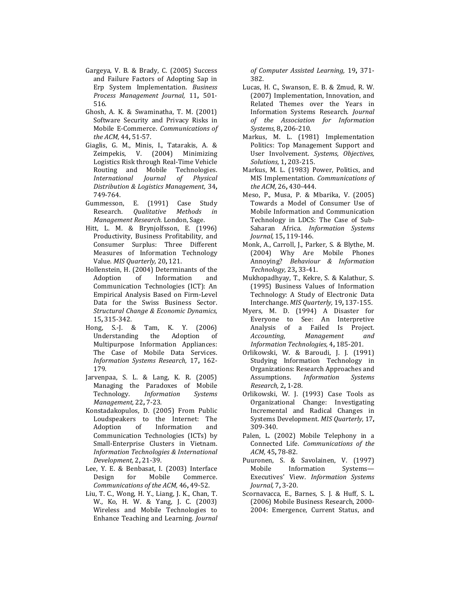- Gargeya, V. B. & Brady, C. (2005) Success and Failure Factors of Adopting Sap in Erp System Implementation. Business Process Management Journal, 11, 501- 516.
- Ghosh, A. K. & Swaminatha, T. M. (2001) Software Security and Privacy Risks in Mobile E-Commerce. Communications of the ACM, 44, 51-57.
- Giaglis, G. M., Minis, I., Tatarakis, A. & Zeimpekis, V. (2004) Minimizing Logistics Risk through Real-Time Vehicle Routing and Mobile Technologies. International Journal of Physical Distribution & Logistics Management, 34, 749-764.
- Gummesson, E. (1991) Case Study Research. Qualitative Methods in Management Research. London, Sage.
- Hitt, L. M. & Brynjolfsson, E. (1996) Productivity, Business Profitability, and Consumer Surplus: Three Different Measures of Information Technology Value. MIS Quarterly, 20, 121.
- Hollenstein, H. (2004) Determinants of the Adoption of Information and Communication Technologies (ICT): An Empirical Analysis Based on Firm-Level Data for the Swiss Business Sector. Structural Change & Economic Dynamics, 15, 315-342.
- Hong, S.-J. & Tam, K. Y. (2006) Understanding the Adoption of Multipurpose Information Appliances: The Case of Mobile Data Services. Information Systems Research, 17, 162- 179.
- Jarvenpaa, S. L. & Lang, K. R. (2005) Managing the Paradoxes of Mobile Technology. Information Systems Management, 22, 7-23.
- Konstadakopulos, D. (2005) From Public Loudspeakers to the Internet: The Adoption of Information and Communication Technologies (ICTs) by Small-Enterprise Clusters in Vietnam. Information Technologies & International Development, 2, 21-39.
- Lee, Y. E. & Benbasat, I. (2003) Interface Design for Mobile Commerce. Communications of the ACM, 46, 49-52.
- Liu, T. C., Wong, H. Y., Liang, J. K., Chan, T. W., Ko, H. W. & Yang, J. C. (2003) Wireless and Mobile Technologies to Enhance Teaching and Learning. Journal

of Computer Assisted Learning, 19, 371- 382.

- Lucas, H. C., Swanson, E. B. & Zmud, R. W. (2007) Implementation, Innovation, and Related Themes over the Years in Information Systems Research. Journal of the Association for Information Systems, 8, 206-210.
- Markus, M. L. (1981) Implementation Politics: Top Management Support and User Involvement. Systems, Objectives, Solutions, 1, 203-215.
- Markus, M. L. (1983) Power, Politics, and MIS Implementation. Communications of the ACM, 26, 430-444.
- Meso, P., Musa, P. & Mbarika, V. (2005) Towards a Model of Consumer Use of Mobile Information and Communication Technology in LDCS: The Case of Sub-Saharan Africa. Information Systems Journal, 15, 119-146.
- Monk, A., Carroll, J., Parker, S. & Blythe, M. (2004) Why Are Mobile Phones Annoying? Behaviour & Information Technology, 23, 33-41.
- Mukhopadhyay, T., Kekre, S. & Kalathur, S. (1995) Business Values of Information Technology: A Study of Electronic Data Interchange. MIS Quarterly, 19, 137-155.
- Myers, M. D. (1994) A Disaster for Everyone to See: An Interpretive Analysis of a Failed Is Project. Accounting, Management and Information Technologies, 4, 185-201.
- Orlikowski, W. & Baroudi, J. J. (1991) Studying Information Technology in Organizations: Research Approaches and Assumptions. Information Systems Research, 2, 1-28.
- Orlikowski, W. J. (1993) Case Tools as Organizational Change: Investigating Incremental and Radical Changes in Systems Development. MIS Quarterly, 17, 309-340.
- Palen, L. (2002) Mobile Telephony in a Connected Life. Communications of the ACM, 45, 78-82.
- Puuronen, S. & Savolainen, V. (1997) Mobile Information Systems— Executives' View. Information Systems Journal, 7, 3-20.
- Scornavacca, E., Barnes, S. J. & Huff, S. L. (2006) Mobile Business Research, 2000- 2004: Emergence, Current Status, and